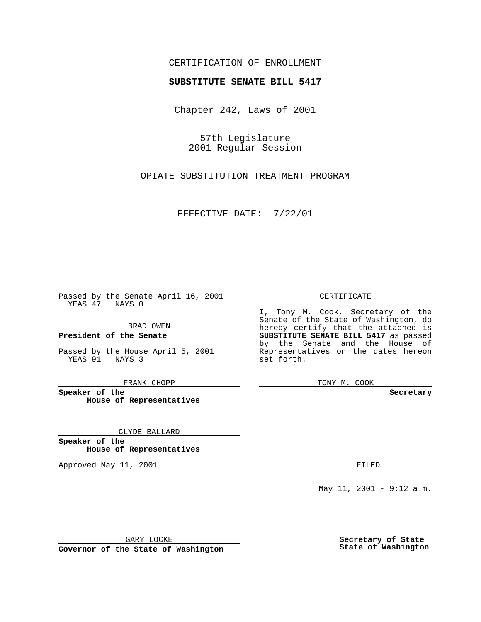### CERTIFICATION OF ENROLLMENT

# **SUBSTITUTE SENATE BILL 5417**

Chapter 242, Laws of 2001

57th Legislature 2001 Regular Session

OPIATE SUBSTITUTION TREATMENT PROGRAM

EFFECTIVE DATE: 7/22/01

Passed by the Senate April 16, 2001 YEAS 47 NAYS 0

BRAD OWEN

**President of the Senate**

Passed by the House April 5, 2001 YEAS 91 NAYS 3

FRANK CHOPP

**Speaker of the House of Representatives**

CLYDE BALLARD

**Speaker of the House of Representatives**

Approved May 11, 2001 **FILED** 

#### CERTIFICATE

I, Tony M. Cook, Secretary of the Senate of the State of Washington, do hereby certify that the attached is **SUBSTITUTE SENATE BILL 5417** as passed by the Senate and the House of Representatives on the dates hereon set forth.

TONY M. COOK

#### **Secretary**

May 11, 2001 - 9:12 a.m.

GARY LOCKE

**Governor of the State of Washington**

**Secretary of State State of Washington**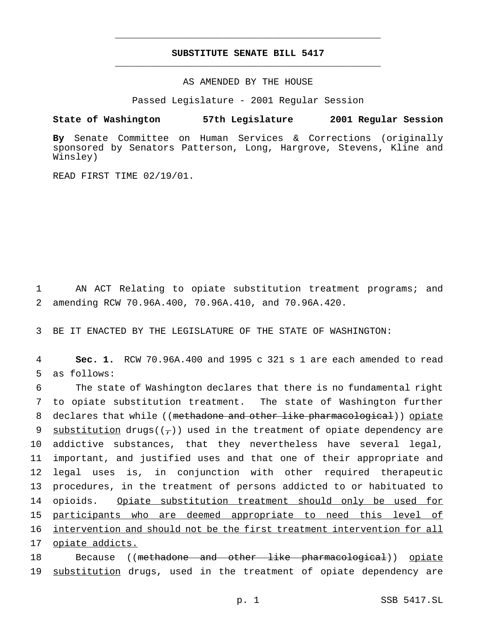## **SUBSTITUTE SENATE BILL 5417** \_\_\_\_\_\_\_\_\_\_\_\_\_\_\_\_\_\_\_\_\_\_\_\_\_\_\_\_\_\_\_\_\_\_\_\_\_\_\_\_\_\_\_\_\_\_\_

\_\_\_\_\_\_\_\_\_\_\_\_\_\_\_\_\_\_\_\_\_\_\_\_\_\_\_\_\_\_\_\_\_\_\_\_\_\_\_\_\_\_\_\_\_\_\_

AS AMENDED BY THE HOUSE

Passed Legislature - 2001 Regular Session

**State of Washington 57th Legislature 2001 Regular Session**

**By** Senate Committee on Human Services & Corrections (originally sponsored by Senators Patterson, Long, Hargrove, Stevens, Kline and Winsley)

READ FIRST TIME 02/19/01.

1 AN ACT Relating to opiate substitution treatment programs; and 2 amending RCW 70.96A.400, 70.96A.410, and 70.96A.420.

3 BE IT ENACTED BY THE LEGISLATURE OF THE STATE OF WASHINGTON:

4 **Sec. 1.** RCW 70.96A.400 and 1995 c 321 s 1 are each amended to read 5 as follows:

 The state of Washington declares that there is no fundamental right to opiate substitution treatment. The state of Washington further 8 declares that while ((methadone and other like pharmacological)) opiate 9 substitution drugs( $(\tau)$ ) used in the treatment of opiate dependency are addictive substances, that they nevertheless have several legal, important, and justified uses and that one of their appropriate and legal uses is, in conjunction with other required therapeutic procedures, in the treatment of persons addicted to or habituated to 14 opioids. Opiate substitution treatment should only be used for participants who are deemed appropriate to need this level of intervention and should not be the first treatment intervention for all opiate addicts.

18 Because ((methadone and other like pharmacological)) opiate 19 substitution drugs, used in the treatment of opiate dependency are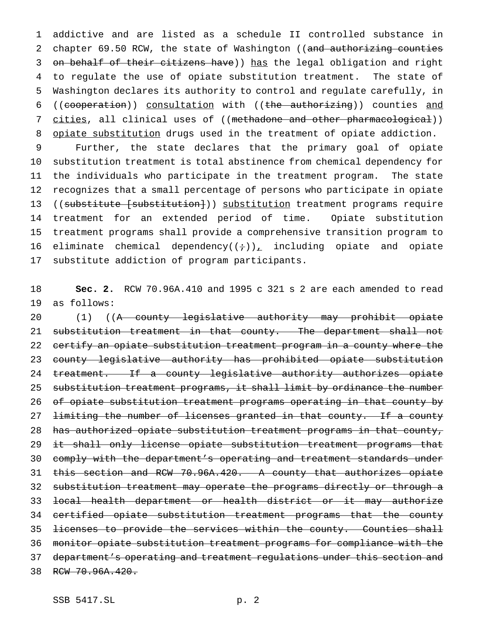addictive and are listed as a schedule II controlled substance in 2 chapter 69.50 RCW, the state of Washington ((and authorizing counties 3 on behalf of their citizens have)) has the legal obligation and right to regulate the use of opiate substitution treatment. The state of Washington declares its authority to control and regulate carefully, in 6 ((cooperation)) consultation with ((the authorizing)) counties and 7 cities, all clinical uses of ((methadone and other pharmacological)) 8 opiate substitution drugs used in the treatment of opiate addiction.

 Further, the state declares that the primary goal of opiate substitution treatment is total abstinence from chemical dependency for the individuals who participate in the treatment program. The state recognizes that a small percentage of persons who participate in opiate 13 ((substitute [substitution])) substitution treatment programs require treatment for an extended period of time. Opiate substitution treatment programs shall provide a comprehensive transition program to 16 eliminate chemical dependency( $(+)$ ), including opiate and opiate substitute addiction of program participants.

 **Sec. 2.** RCW 70.96A.410 and 1995 c 321 s 2 are each amended to read as follows:

20 (1) ((A county legislative authority may prohibit opiate substitution treatment in that county. The department shall not 22 certify an opiate substitution treatment program in a county where the county legislative authority has prohibited opiate substitution treatment. If a county legislative authority authorizes opiate substitution treatment programs, it shall limit by ordinance the number of opiate substitution treatment programs operating in that county by 27 <del>limiting the number of licenses granted in that county. If a county</del> 28 has authorized opiate substitution treatment programs in that county, 29 it shall only license opiate substitution treatment programs that comply with the department's operating and treatment standards under this section and RCW 70.96A.420. A county that authorizes opiate substitution treatment may operate the programs directly or through a local health department or health district or it may authorize certified opiate substitution treatment programs that the county 35 <del>licenses to provide the services within the county. Counties shall</del> monitor opiate substitution treatment programs for compliance with the department's operating and treatment regulations under this section and 38 RCW 70.96A.420.

SSB 5417.SL p. 2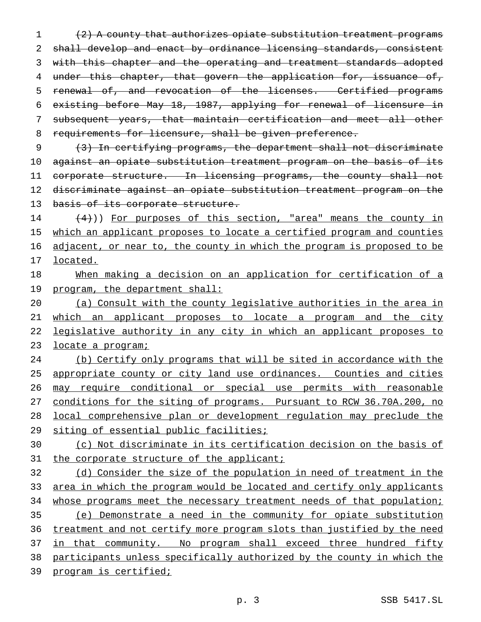1 (2) A county that authorizes opiate substitution treatment programs 2 shall develop and enact by ordinance licensing standards, consistent 3 with this chapter and the operating and treatment standards adopted 4 under this chapter, that govern the application for, issuance of, 5 renewal of, and revocation of the licenses. Certified programs 6 existing before May 18, 1987, applying for renewal of licensure in 7 subsequent years, that maintain certification and meet all other 8 requirements for licensure, shall be given preference.

9 (3) In certifying programs, the department shall not discriminate 10 against an opiate substitution treatment program on the basis of its 11 corporate structure. In licensing programs, the county shall not 12 discriminate against an opiate substitution treatment program on the 13 basis of its corporate structure.

 $14$   $(4)$ )) For purposes of this section, "area" means the county in 15 which an applicant proposes to locate a certified program and counties 16 adjacent, or near to, the county in which the program is proposed to be 17 located.

18 When making a decision on an application for certification of a 19 program, the department shall:

20 (a) Consult with the county legislative authorities in the area in 21 which an applicant proposes to locate a program and the city 22 legislative authority in any city in which an applicant proposes to 23 locate a program;

24 (b) Certify only programs that will be sited in accordance with the 25 appropriate county or city land use ordinances. Counties and cities 26 may require conditional or special use permits with reasonable 27 conditions for the siting of programs. Pursuant to RCW 36.70A.200, no 28 local comprehensive plan or development regulation may preclude the 29 siting of essential public facilities;

# 30 (c) Not discriminate in its certification decision on the basis of 31 the corporate structure of the applicant;

 (d) Consider the size of the population in need of treatment in the 33 area in which the program would be located and certify only applicants 34 whose programs meet the necessary treatment needs of that population; (e) Demonstrate a need in the community for opiate substitution treatment and not certify more program slots than justified by the need 37 in that community. No program shall exceed three hundred fifty participants unless specifically authorized by the county in which the program is certified;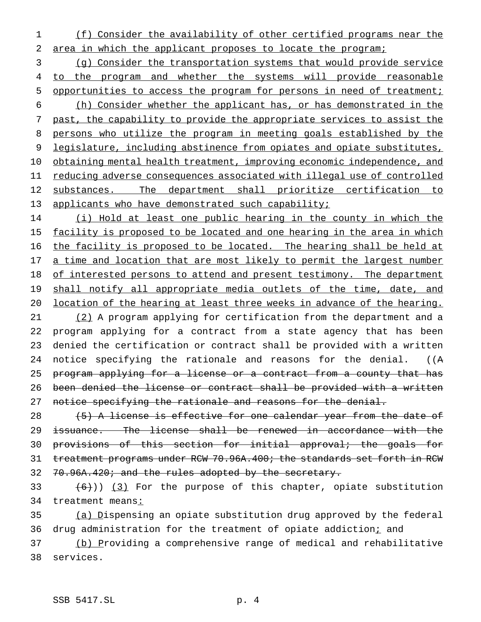1 (f) Consider the availability of other certified programs near the 2 area in which the applicant proposes to locate the program;

3 (g) Consider the transportation systems that would provide service 4 to the program and whether the systems will provide reasonable 5 opportunities to access the program for persons in need of treatment; 6 (h) Consider whether the applicant has, or has demonstrated in the 7 past, the capability to provide the appropriate services to assist the 8 persons who utilize the program in meeting goals established by the 9 legislature, including abstinence from opiates and opiate substitutes, 10 obtaining mental health treatment, improving economic independence, and 11 reducing adverse consequences associated with illegal use of controlled 12 substances. The department shall prioritize certification to 13 applicants who have demonstrated such capability;

14 (i) Hold at least one public hearing in the county in which the 15 facility is proposed to be located and one hearing in the area in which 16 the facility is proposed to be located. The hearing shall be held at 17 a time and location that are most likely to permit the largest number 18 of interested persons to attend and present testimony. The department 19 shall notify all appropriate media outlets of the time, date, and 20 location of the hearing at least three weeks in advance of the hearing. 21 (2) A program applying for certification from the department and a 22 program applying for a contract from a state agency that has been 23 denied the certification or contract shall be provided with a written 24 notice specifying the rationale and reasons for the denial. ((A 25 program applying for a license or a contract from a county that has 26 been denied the license or contract shall be provided with a written 27 notice specifying the rationale and reasons for the denial.

 $(5)$  A license is effective for one calendar year from the date of issuance. The license shall be renewed in accordance with the provisions of this section for initial approval; the goals for treatment programs under RCW 70.96A.400; the standards set forth in RCW 32 70.96A.420; and the rules adopted by the secretary.

33  $(6)$  (3) For the purpose of this chapter, opiate substitution 34 treatment means:

35 (a) Dispensing an opiate substitution drug approved by the federal 36 drug administration for the treatment of opiate addictioni and

37 (b) Providing a comprehensive range of medical and rehabilitative 38 services.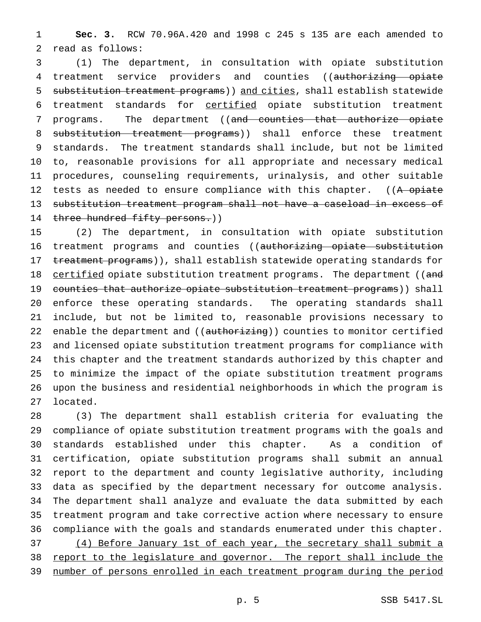**Sec. 3.** RCW 70.96A.420 and 1998 c 245 s 135 are each amended to read as follows:

 (1) The department, in consultation with opiate substitution 4 treatment service providers and counties ((authorizing opiate 5 substitution treatment programs) and cities, shall establish statewide treatment standards for certified opiate substitution treatment 7 programs. The department ((and counties that authorize opiate 8 substitution treatment programs)) shall enforce these treatment standards. The treatment standards shall include, but not be limited to, reasonable provisions for all appropriate and necessary medical procedures, counseling requirements, urinalysis, and other suitable 12 tests as needed to ensure compliance with this chapter. ((A opiate substitution treatment program shall not have a caseload in excess of 14 three hundred fifty persons.))

 (2) The department, in consultation with opiate substitution 16 treatment programs and counties ((authorizing opiate substitution 17 treatment programs)), shall establish statewide operating standards for 18 certified opiate substitution treatment programs. The department ((and 19 counties that authorize opiate substitution treatment programs)) shall enforce these operating standards. The operating standards shall include, but not be limited to, reasonable provisions necessary to 22 enable the department and ((authorizing)) counties to monitor certified and licensed opiate substitution treatment programs for compliance with this chapter and the treatment standards authorized by this chapter and to minimize the impact of the opiate substitution treatment programs upon the business and residential neighborhoods in which the program is located.

 (3) The department shall establish criteria for evaluating the compliance of opiate substitution treatment programs with the goals and standards established under this chapter. As a condition of certification, opiate substitution programs shall submit an annual report to the department and county legislative authority, including data as specified by the department necessary for outcome analysis. The department shall analyze and evaluate the data submitted by each treatment program and take corrective action where necessary to ensure compliance with the goals and standards enumerated under this chapter. 37 (4) Before January 1st of each year, the secretary shall submit a report to the legislature and governor. The report shall include the number of persons enrolled in each treatment program during the period